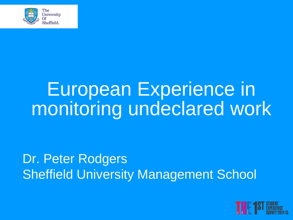

## European Experience in monitoring undeclared work

#### Dr. Peter Rodgers **Sheffield University Management School**

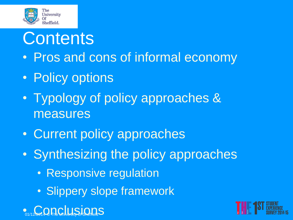

#### **Contents**

- Pros and cons of informal economy
- Policy options
- Typology of policy approaches & measures
- Current policy approaches
- Synthesizing the policy approaches
	- Responsive regulation
	- Slippery slope framework



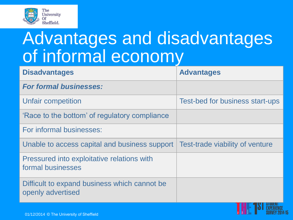

### Advantages and disadvantages of informal economy

| <b>Disadvantages</b>                                              | <b>Advantages</b>               |
|-------------------------------------------------------------------|---------------------------------|
| <b>For formal businesses:</b>                                     |                                 |
| Unfair competition                                                | Test-bed for business start-ups |
| 'Race to the bottom' of regulatory compliance                     |                                 |
| For informal businesses:                                          |                                 |
| Unable to access capital and business support                     | Test-trade viability of venture |
| Pressured into exploitative relations with<br>formal businesses   |                                 |
| Difficult to expand business which cannot be<br>openly advertised |                                 |

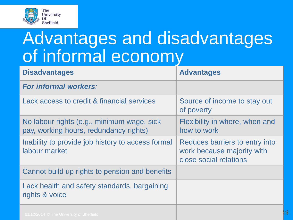

### Advantages and disadvantages of informal economy

| <b>Disadvantages</b>                                                                 | <b>Advantages</b>                                                                      |
|--------------------------------------------------------------------------------------|----------------------------------------------------------------------------------------|
| <b>For informal workers:</b>                                                         |                                                                                        |
| Lack access to credit & financial services                                           | Source of income to stay out<br>of poverty                                             |
| No labour rights (e.g., minimum wage, sick<br>pay, working hours, redundancy rights) | Flexibility in where, when and<br>how to work                                          |
| Inability to provide job history to access formal<br>labour market                   | Reduces barriers to entry into<br>work because majority with<br>close social relations |
| Cannot build up rights to pension and benefits                                       |                                                                                        |
| Lack health and safety standards, bargaining<br>rights & voice                       |                                                                                        |
| $04/10/0041 \odot$ The University of Chaffic                                         |                                                                                        |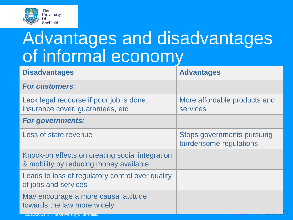

### Advantages and disadvantages of informal economy

| <b>Disadvantages</b>                                                                                            | <b>Advantages</b>                                           |
|-----------------------------------------------------------------------------------------------------------------|-------------------------------------------------------------|
| <b>For customers:</b>                                                                                           |                                                             |
| Lack legal recourse if poor job is done,<br>insurance cover, guarantees, etc                                    | More affordable products and<br><b>services</b>             |
| <b>For governments:</b>                                                                                         |                                                             |
| Loss of state revenue                                                                                           | <b>Stops governments pursuing</b><br>burdensome regulations |
| Knock-on effects on creating social integration<br>& mobility by reducing money available                       |                                                             |
| Leads to loss of regulatory control over quality<br>of jobs and services                                        |                                                             |
| May encourage a more causal attitude<br>towards the law more widely<br>U1/12/2014 © The University of Sheffield |                                                             |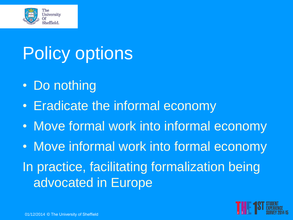

## Policy options

- Do nothing
- Eradicate the informal economy
- Move formal work into informal economy

• Move informal work into formal economy In practice, facilitating formalization being advocated in Europe

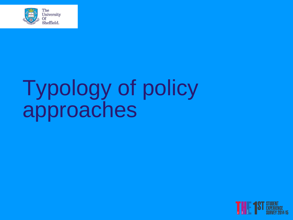

# Typology of policy approaches

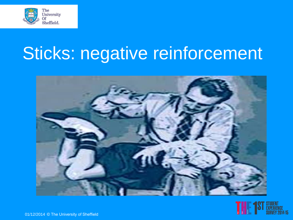

### Sticks: negative reinforcement



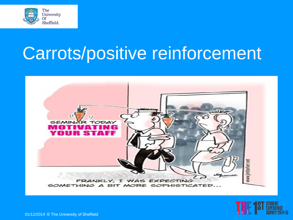

### Carrots/positive reinforcement



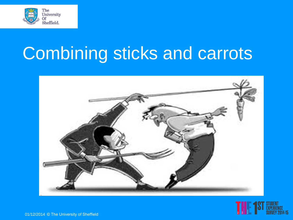

# Combining sticks and carrots



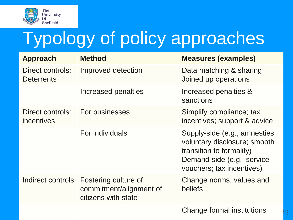

## Typology of policy approaches

| <b>Approach</b>                       | <b>Method</b>                                                          | <b>Measures (examples)</b>                                                                                                                           |
|---------------------------------------|------------------------------------------------------------------------|------------------------------------------------------------------------------------------------------------------------------------------------------|
| Direct controls:<br><b>Deterrents</b> | Improved detection                                                     | Data matching & sharing<br>Joined up operations                                                                                                      |
|                                       | Increased penalties                                                    | Increased penalties &<br>sanctions                                                                                                                   |
| Direct controls:<br>incentives        | For businesses                                                         | Simplify compliance; tax<br>incentives; support & advice                                                                                             |
|                                       | For individuals                                                        | Supply-side (e.g., amnesties;<br>voluntary disclosure; smooth<br>transition to formality)<br>Demand-side (e.g., service<br>vouchers; tax incentives) |
| Indirect controls                     | Fostering culture of<br>commitment/alignment of<br>citizens with state | Change norms, values and<br>beliefs                                                                                                                  |
|                                       |                                                                        | Change formal institutions                                                                                                                           |

15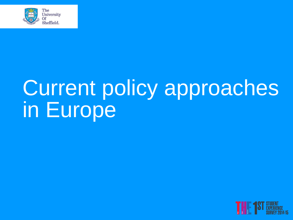

# Current policy approaches in Europe

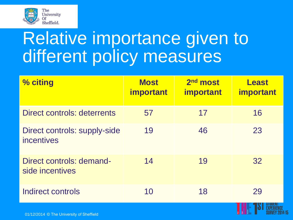

### Relative importance given to different policy measures

| % citing                                          | <b>Most</b><br><b>important</b> | 2 <sup>nd</sup> most<br><b>important</b> | <b>Least</b><br><b>important</b> |
|---------------------------------------------------|---------------------------------|------------------------------------------|----------------------------------|
| Direct controls: deterrents                       | 57                              | 17                                       | 16                               |
| <b>Direct controls: supply-side</b><br>incentives | 19                              | 46                                       | 23                               |
| Direct controls: demand-<br>side incentives       | 14                              | 19                                       | 32                               |
| Indirect controls                                 | 10                              | 18                                       | 29                               |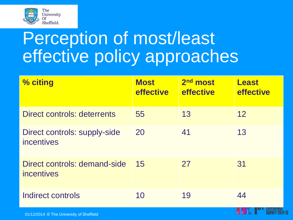

### Perception of most/least effective policy approaches

| % citing                                   | <b>Most</b><br><b>effective</b> | 2 <sup>nd</sup> most<br>effective | <b>Least</b><br>effective |
|--------------------------------------------|---------------------------------|-----------------------------------|---------------------------|
| Direct controls: deterrents                | 55                              | 13                                | 12                        |
| Direct controls: supply-side<br>incentives | <b>20</b>                       | 41                                | 13                        |
| Direct controls: demand-side<br>incentives | 15                              | 27                                | 31                        |
| Indirect controls                          | 10                              | 19                                | 44                        |

SURVEY 2014-15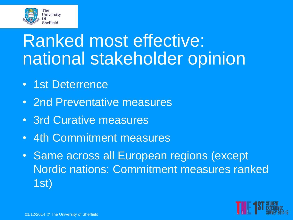

### Ranked most effective: national stakeholder opinion

- 1st Deterrence
- 2nd Preventative measures
- 3rd Curative measures
- 4th Commitment measures
- Same across all European regions (except Nordic nations: Commitment measures ranked 1st)

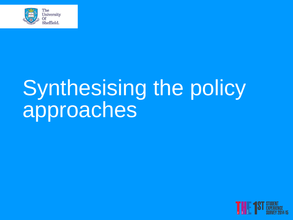

# Synthesising the policy approaches

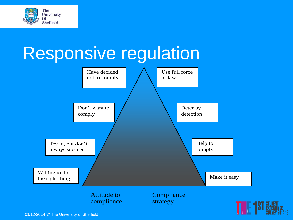

### Responsive regulation

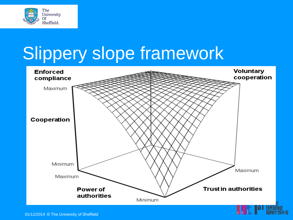

### Slippery slope framework

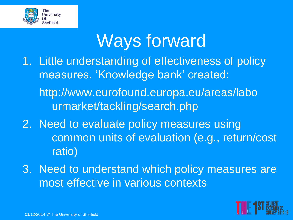

### Ways forward

- 1. Little understanding of effectiveness of policy measures. 'Knowledge bank' created: http://www.eurofound.europa.eu/areas/labo urmarket/tackling/search.php
- 2. Need to evaluate policy measures using common units of evaluation (e.g., return/cost ratio)
- 3. Need to understand which policy measures are most effective in various contexts

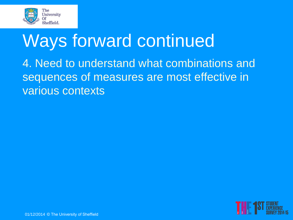

### Ways forward continued

4. Need to understand what combinations and sequences of measures are most effective in various contexts